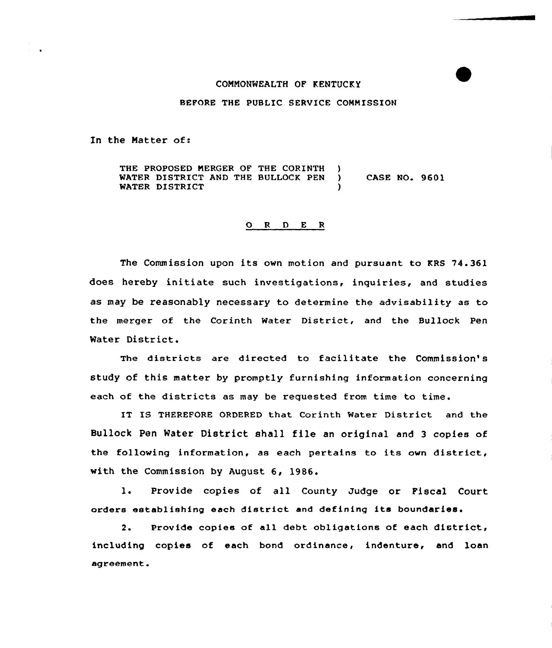## COHHONWEALTH OF KENTUCKY

## BEFORE THE PUBLIC SERVICE COMMISSION

In the Matter of:

THE PROPOSED MERGER OF THE CORINTH )<br>WATER DISTRICT AND THE BULLOCK PEN ) WATER DISTRICT AND THE BULLOCK PEN ) CASE NO. 9601 WATER DISTRICT

## 0 <sup>R</sup> <sup>D</sup> <sup>E</sup> <sup>R</sup>

The Commission upon its own motion and pursuant to KRS 74.361 does hereby initiate such investigations, inquiries, and studies as may be reasonably necessary to determine the advisability as to the merger of the Corinth Water District, and the Bullock Pen Water District.

The districts are directed to facilitate the Commission's study of this matter by promptly furnishing information concerning each of the districts as may be requested from time to time.

IT IS THEREFORE ORDERED that Corinth Water District and the Bullock Pen Water District shall file an original and <sup>3</sup> copies of the following information, as each pertains to its own district, with the Commission by August 6, 1986.

1. Provide copies of all County Judge or Fiscal Court orders establishing each district and defininq its boundaries'.

Provide copies of all debt obligations of each district,  $2.$ including copies of each bond ordinance, indenture, and loan agreement.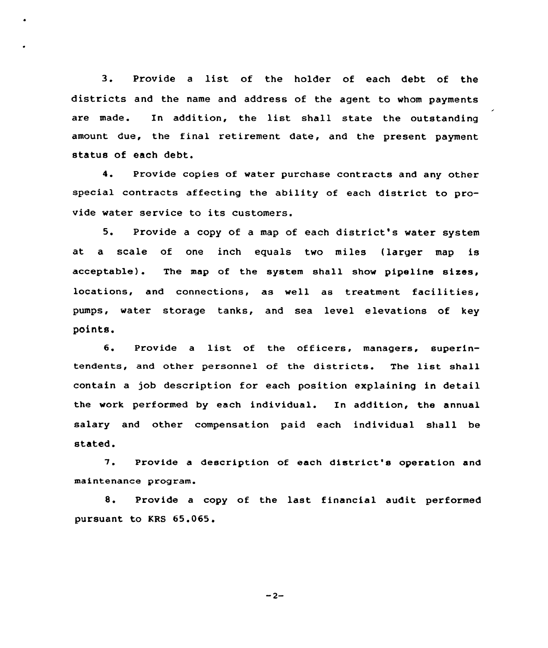3. Provide <sup>a</sup> list of the holder of each debt of the districts and the name and address of the agent to whom payments are made. In addition, the list shall state the outstanding amount due, the final retirement date, and the present payment status of each debt.

4. Provide copies of water purchase contracts and any other special contracts affecting the ability of each district to provide water service to its customers.

5. Provide <sup>a</sup> copy of <sup>a</sup> map of each district's water system at a scale of one inch equals two miles (larger map is acceptable). The map of the system shall show pipeline sixes, locations, and connections, as well as treatment facilities, pumps, water storage tanks, and sea level elevations of key points.

6. Provide <sup>a</sup> list of the officers, managers, superintendents, and other personnel of the districts. The list shall contain a job description for each position explaining in detail the work performed by each individual. In addition, the annual salary and other compensation paid each individual shall be stated.

'7. Provide <sup>a</sup> description of each district's operation and maintenance program.

8. Provide <sup>a</sup> copy of the last financial audit performed pursuant to KRS 65.065.

 $-2-$